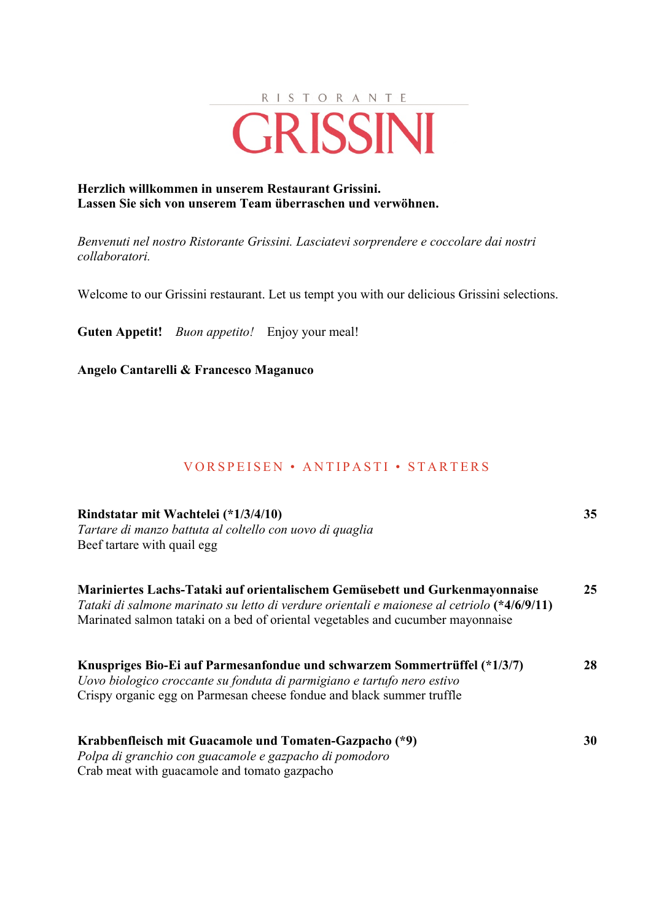

### **Herzlich willkommen in unserem Restaurant Grissini. Lassen Sie sich von unserem Team überraschen und verwöhnen.**

*Benvenuti nel nostro Ristorante Grissini. Lasciatevi sorprendere e coccolare dai nostri collaboratori.*

Welcome to our Grissini restaurant. Let us tempt you with our delicious Grissini selections.

**Guten Appetit!** *Buon appetito!* Enjoy your meal!

**Angelo Cantarelli & Francesco Maganuco**

### VORSPEISEN • ANTIPASTI • STARTERS

| Rindstatar mit Wachtelei (*1/3/4/10)<br>Tartare di manzo battuta al coltello con uovo di quaglia                                                                                                                                                              | 35 |
|---------------------------------------------------------------------------------------------------------------------------------------------------------------------------------------------------------------------------------------------------------------|----|
| Beef tartare with quail egg                                                                                                                                                                                                                                   |    |
| Mariniertes Lachs-Tataki auf orientalischem Gemüsebett und Gurkenmayonnaise<br>Tataki di salmone marinato su letto di verdure orientali e maionese al cetriolo (*4/6/9/11)<br>Marinated salmon tataki on a bed of oriental vegetables and cucumber mayonnaise | 25 |
| Knuspriges Bio-Ei auf Parmesanfondue und schwarzem Sommertrüffel (*1/3/7)<br>Uovo biologico croccante su fonduta di parmigiano e tartufo nero estivo<br>Crispy organic egg on Parmesan cheese fondue and black summer truffle                                 | 28 |
| Krabbenfleisch mit Guacamole und Tomaten-Gazpacho (*9)<br>Polpa di granchio con guacamole e gazpacho di pomodoro<br>Crab meat with guacamole and tomato gazpacho                                                                                              | 30 |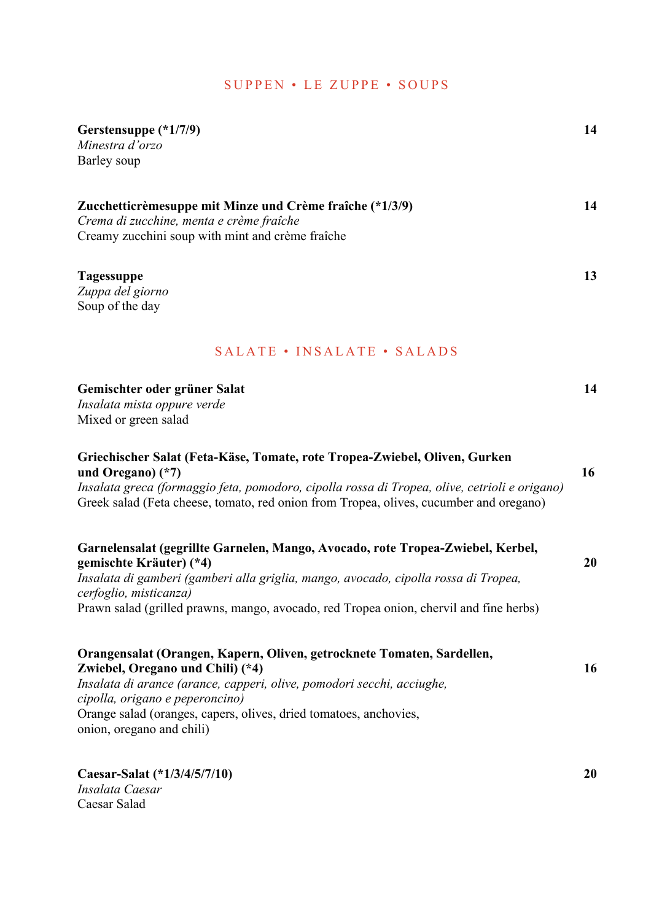# SUPPEN • LE ZUPPE • SOUPS

| Gerstensuppe (*1/7/9)<br>Minestra d'orzo<br>Barley soup                                                                                                                                                                                                                                                                   | 14 |
|---------------------------------------------------------------------------------------------------------------------------------------------------------------------------------------------------------------------------------------------------------------------------------------------------------------------------|----|
| Zucchetticrèmesuppe mit Minze und Crème fraîche (*1/3/9)<br>Crema di zucchine, menta e crème fraîche<br>Creamy zucchini soup with mint and crème fraîche                                                                                                                                                                  | 14 |
| <b>Tagessuppe</b><br>Zuppa del giorno<br>Soup of the day                                                                                                                                                                                                                                                                  | 13 |
| SALATE • INSALATE • SALADS                                                                                                                                                                                                                                                                                                |    |
| Gemischter oder grüner Salat<br>Insalata mista oppure verde<br>Mixed or green salad                                                                                                                                                                                                                                       | 14 |
| Griechischer Salat (Feta-Käse, Tomate, rote Tropea-Zwiebel, Oliven, Gurken<br>und Oregano) $(*7)$<br>Insalata greca (formaggio feta, pomodoro, cipolla rossa di Tropea, olive, cetrioli e origano)<br>Greek salad (Feta cheese, tomato, red onion from Tropea, olives, cucumber and oregano)                              | 16 |
| Garnelensalat (gegrillte Garnelen, Mango, Avocado, rote Tropea-Zwiebel, Kerbel,<br>gemischte Kräuter) (*4)<br>Insalata di gamberi (gamberi alla griglia, mango, avocado, cipolla rossa di Tropea,<br>cerfoglio, misticanza)<br>Prawn salad (grilled prawns, mango, avocado, red Tropea onion, chervil and fine herbs)     | 20 |
| Orangensalat (Orangen, Kapern, Oliven, getrocknete Tomaten, Sardellen,<br>Zwiebel, Oregano und Chili) (*4)<br>Insalata di arance (arance, capperi, olive, pomodori secchi, acciughe,<br>cipolla, origano e peperoncino)<br>Orange salad (oranges, capers, olives, dried tomatoes, anchovies,<br>onion, oregano and chili) | 16 |
| Caesar-Salat (*1/3/4/5/7/10)                                                                                                                                                                                                                                                                                              | 20 |

*Insalata Caesar*  Caesar Salad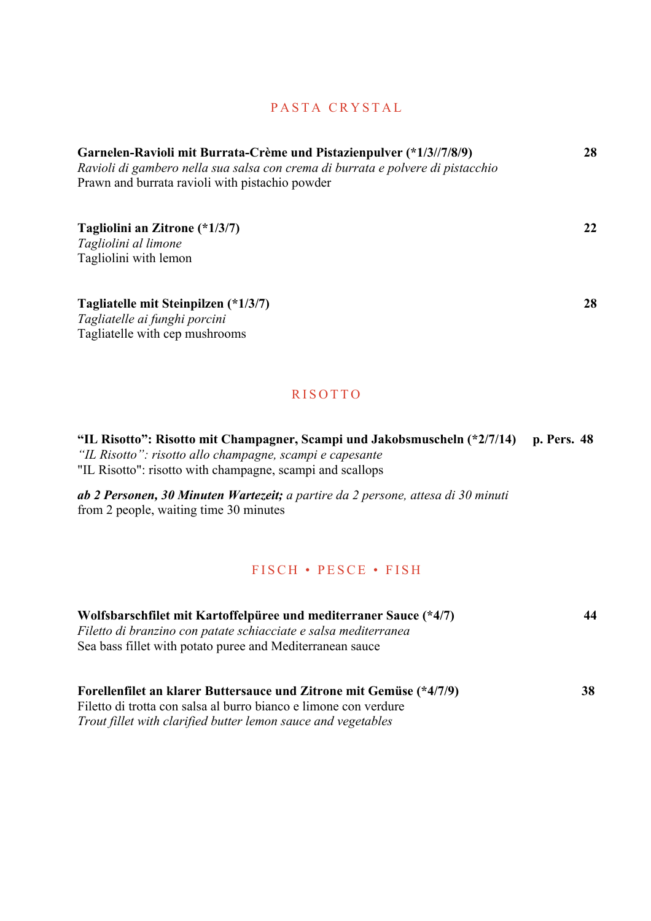# PASTA CRYSTAL

| Garnelen-Ravioli mit Burrata-Crème und Pistazienpulver (*1/3//7/8/9)<br>Ravioli di gambero nella sua salsa con crema di burrata e polvere di pistacchio<br>Prawn and burrata ravioli with pistachio powder |    |
|------------------------------------------------------------------------------------------------------------------------------------------------------------------------------------------------------------|----|
| Tagliolini an Zitrone (*1/3/7)                                                                                                                                                                             | 22 |
| Tagliolini al limone                                                                                                                                                                                       |    |
| Tagliolini with lemon                                                                                                                                                                                      |    |
| Tagliatelle mit Steinpilzen (*1/3/7)                                                                                                                                                                       | 28 |
| Tagliatelle ai funghi porcini                                                                                                                                                                              |    |
| Tagliatelle with cep mushrooms                                                                                                                                                                             |    |
|                                                                                                                                                                                                            |    |

## **RISOTTO**

**"IL Risotto": Risotto mit Champagner, Scampi und Jakobsmuscheln (\*2/7/14) p. Pers. 48** *"IL Risotto": risotto allo champagne, scampi e capesante*  "IL Risotto": risotto with champagne, scampi and scallops

*ab 2 Personen, 30 Minuten Wartezeit; a partire da 2 persone, attesa di 30 minuti* from 2 people, waiting time 30 minutes

## FISCH • PESCE • FISH

| 44 |
|----|
|    |
|    |
|    |
|    |
| 38 |
|    |
|    |
|    |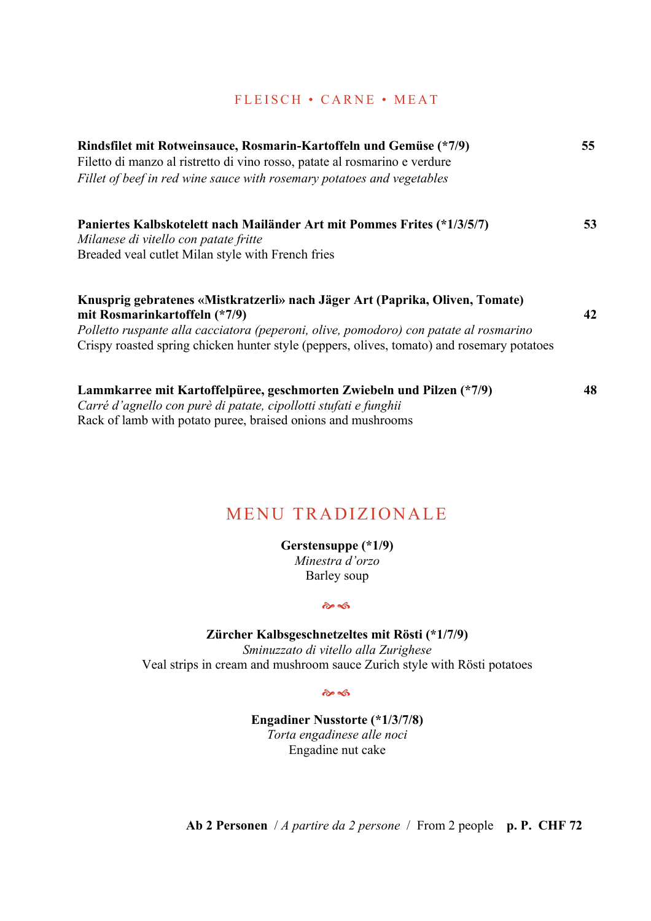### FLEISCH • CARNE • MEAT

| Rindsfilet mit Rotweinsauce, Rosmarin-Kartoffeln und Gemüse (*7/9)                                            |    |
|---------------------------------------------------------------------------------------------------------------|----|
| Filetto di manzo al ristretto di vino rosso, patate al rosmarino e verdure                                    |    |
| Fillet of beef in red wine sauce with rosemary potatoes and vegetables                                        |    |
| Paniertes Kalbskotelett nach Mailänder Art mit Pommes Frites (*1/3/5/7)                                       | 53 |
| Milanese di vitello con patate fritte<br>Breaded veal cutlet Milan style with French fries                    |    |
|                                                                                                               |    |
| Knusprig gebratenes «Mistkratzerli» nach Jäger Art (Paprika, Oliven, Tomate)<br>mit Rosmarinkartoffeln (*7/9) | 42 |
| Polletto ruspante alla cacciatora (peperoni, olive, pomodoro) con patate al rosmarino                         |    |
| Crispy roasted spring chicken hunter style (peppers, olives, tomato) and rosemary potatoes                    |    |
| Lammkarree mit Kartoffelpüree, geschmorten Zwiebeln und Pilzen (*7/9)                                         | 48 |
| Carré d'agnello con purè di patate, cipollotti stufati e funghii                                              |    |
| Rack of lamb with potato puree, braised onions and mushrooms                                                  |    |

# MENU TRADIZIONALE

**Gerstensuppe (\*1/9)** *Minestra d'orzo* Barley soup

 $\hat{\mathbf{c}}$ 

**Zürcher Kalbsgeschnetzeltes mit Rösti (\*1/7/9)** *Sminuzzato di vitello alla Zurighese* Veal strips in cream and mushroom sauce Zurich style with Rösti potatoes

 $\hat{\mathbf{\infty}}$ 

**Engadiner Nusstorte (\*1/3/7/8)** *Torta engadinese alle noci* Engadine nut cake

**Ab 2 Personen** / *A partire da 2 persone* / From 2 people **p. P. CHF 72**